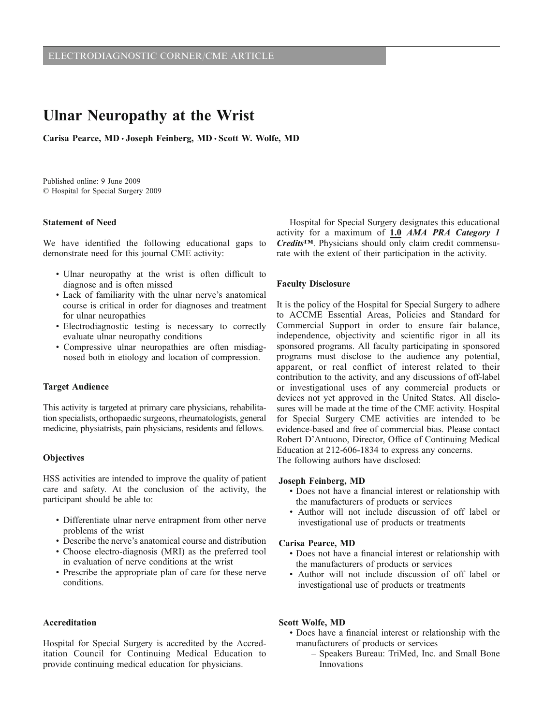# Ulnar Neuropathy at the Wrist

Carisa Pearce, MD · Joseph Feinberg, MD · Scott W. Wolfe, MD

Published online: 9 June 2009  $\circ$  Hospital for Special Surgery 2009

#### Statement of Need

We have identified the following educational gaps to demonstrate need for this journal CME activity:

- & Ulnar neuropathy at the wrist is often difficult to diagnose and is often missed
- & Lack of familiarity with the ulnar nerve's anatomical course is critical in order for diagnoses and treatment for ulnar neuropathies
- & Electrodiagnostic testing is necessary to correctly evaluate ulnar neuropathy conditions
- & Compressive ulnar neuropathies are often misdiagnosed both in etiology and location of compression.

### Target Audience

This activity is targeted at primary care physicians, rehabilitation specialists, orthopaedic surgeons, rheumatologists, general medicine, physiatrists, pain physicians, residents and fellows.

#### **Objectives**

HSS activities are intended to improve the quality of patient care and safety. At the conclusion of the activity, the participant should be able to:

- & Differentiate ulnar nerve entrapment from other nerve problems of the wrist
- & Describe the nerve's anatomical course and distribution
- & Choose electro-diagnosis (MRI) as the preferred tool in evaluation of nerve conditions at the wrist
- & Prescribe the appropriate plan of care for these nerve conditions.

#### Accreditation

Hospital for Special Surgery is accredited by the Accreditation Council for Continuing Medical Education to provide continuing medical education for physicians.

Hospital for Special Surgery designates this educational activity for a maximum of 1.0 AMA PRA Category 1 Credits*™*. Physicians should only claim credit commensurate with the extent of their participation in the activity.

#### Faculty Disclosure

It is the policy of the Hospital for Special Surgery to adhere to ACCME Essential Areas, Policies and Standard for Commercial Support in order to ensure fair balance, independence, objectivity and scientific rigor in all its sponsored programs. All faculty participating in sponsored programs must disclose to the audience any potential, apparent, or real conflict of interest related to their contribution to the activity, and any discussions of off-label or investigational uses of any commercial products or devices not yet approved in the United States. All disclosures will be made at the time of the CME activity. Hospital for Special Surgery CME activities are intended to be evidence-based and free of commercial bias. Please contact Robert D'Antuono, Director, Office of Continuing Medical Education at 212-606-1834 to express any concerns. The following authors have disclosed:

#### Joseph Feinberg, MD

- & Does not have a financial interest or relationship with the manufacturers of products or services
- & Author will not include discussion of off label or investigational use of products or treatments

#### Carisa Pearce, MD

- & Does not have a financial interest or relationship with the manufacturers of products or services
- & Author will not include discussion of off label or investigational use of products or treatments

#### Scott Wolfe, MD

- & Does have a financial interest or relationship with the manufacturers of products or services
	- Speakers Bureau: TriMed, Inc. and Small Bone Innovations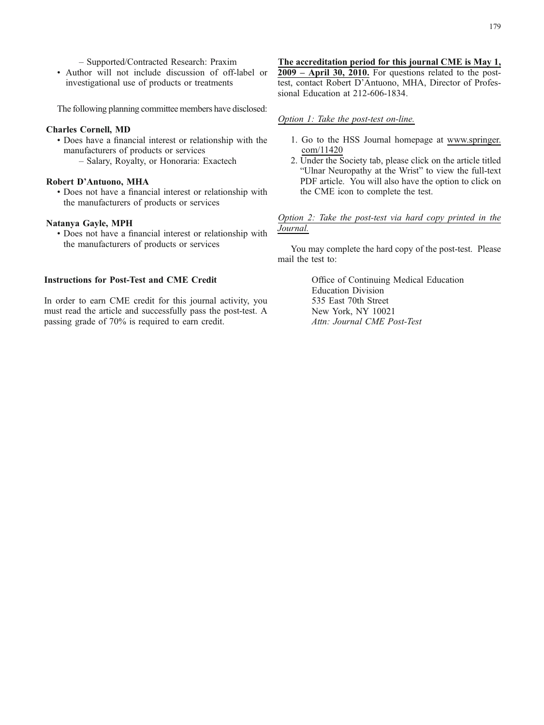– Supported/Contracted Research: Praxim

& Author will not include discussion of off-label or investigational use of products or treatments

The following planning committee members have disclosed:

#### Charles Cornell, MD

- & Does have a financial interest or relationship with the manufacturers of products or services
	- Salary, Royalty, or Honoraria: Exactech

## Robert D'Antuono, MHA

& Does not have a financial interest or relationship with the manufacturers of products or services

### Natanya Gayle, MPH

& Does not have a financial interest or relationship with the manufacturers of products or services

#### Instructions for Post-Test and CME Credit

In order to earn CME credit for this journal activity, you must read the article and successfully pass the post-test. A passing grade of 70% is required to earn credit.

## The accreditation period for this journal CME is May 1,

2009 – April 30, 2010. For questions related to the posttest, contact Robert D'Antuono, MHA, Director of Professional Education at 212-606-1834.

#### Option 1: Take the post-test on-line.

- 1. Go to the HSS Journal homepage at [www.springer.](http://www.springer.com/11420) [com/11420](http://www.springer.com/11420)
- 2. Under the Society tab, please click on the article titled "Ulnar Neuropathy at the Wrist" to view the full-text PDF article. You will also have the option to click on the CME icon to complete the test.

### Option 2: Take the post-test via hard copy printed in the Journal.

You may complete the hard copy of the post-test. Please mail the test to:

> Office of Continuing Medical Education Education Division 535 East 70th Street New York, NY 10021 Attn: Journal CME Post-Test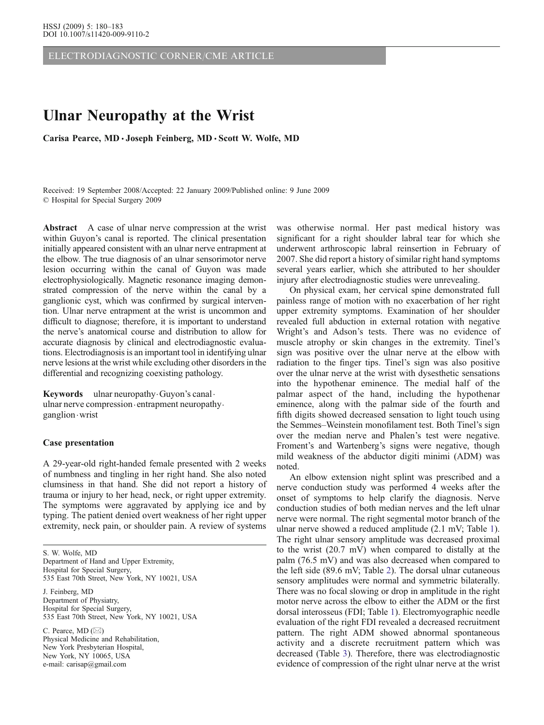ELECTRODIAGNOSTIC CORNER/CME ARTICLE

# Ulnar Neuropathy at the Wrist

Carisa Pearce, MD · Joseph Feinberg, MD · Scott W. Wolfe, MD

Received: 19 September 2008/Accepted: 22 January 2009/Published online: 9 June 2009  $©$  Hospital for Special Surgery 2009

Abstract A case of ulnar nerve compression at the wrist within Guyon's canal is reported. The clinical presentation initially appeared consistent with an ulnar nerve entrapment at the elbow. The true diagnosis of an ulnar sensorimotor nerve lesion occurring within the canal of Guyon was made electrophysiologically. Magnetic resonance imaging demonstrated compression of the nerve within the canal by a ganglionic cyst, which was confirmed by surgical intervention. Ulnar nerve entrapment at the wrist is uncommon and difficult to diagnose; therefore, it is important to understand the nerve's anatomical course and distribution to allow for accurate diagnosis by clinical and electrodiagnostic evaluations. Electrodiagnosis is an important tool in identifying ulnar nerve lesions at the wrist while excluding other disorders in the differential and recognizing coexisting pathology.

Keywords ulnar neuropathy Guyon's canal. ulnar nerve compression · entrapment neuropathy · ganglion.wrist

#### Case presentation

A 29-year-old right-handed female presented with 2 weeks of numbness and tingling in her right hand. She also noted clumsiness in that hand. She did not report a history of trauma or injury to her head, neck, or right upper extremity. The symptoms were aggravated by applying ice and by typing. The patient denied overt weakness of her right upper extremity, neck pain, or shoulder pain. A review of systems

S. W. Wolfe, MD Department of Hand and Upper Extremity, Hospital for Special Surgery, 535 East 70th Street, New York, NY 10021, USA J. Feinberg, MD Department of Physiatry, Hospital for Special Surgery, 535 East 70th Street, New York, NY 10021, USA

C. Pearce, MD (*\**) Physical Medicine and Rehabilitation, New York Presbyterian Hospital, New York, NY 10065, USA e-mail: carisap@gmail.com

was otherwise normal. Her past medical history was significant for a right shoulder labral tear for which she underwent arthroscopic labral reinsertion in February of 2007. She did report a history of similar right hand symptoms several years earlier, which she attributed to her shoulder injury after electrodiagnostic studies were unrevealing.

On physical exam, her cervical spine demonstrated full painless range of motion with no exacerbation of her right upper extremity symptoms. Examination of her shoulder revealed full abduction in external rotation with negative Wright's and Adson's tests. There was no evidence of muscle atrophy or skin changes in the extremity. Tinel's sign was positive over the ulnar nerve at the elbow with radiation to the finger tips. Tinel's sign was also positive over the ulnar nerve at the wrist with dysesthetic sensations into the hypothenar eminence. The medial half of the palmar aspect of the hand, including the hypothenar eminence, along with the palmar side of the fourth and fifth digits showed decreased sensation to light touch using the Semmes–Weinstein monofilament test. Both Tinel's sign over the median nerve and Phalen's test were negative. Froment's and Wartenberg's signs were negative, though mild weakness of the abductor digiti minimi (ADM) was noted.

An elbow extension night splint was prescribed and a nerve conduction study was performed 4 weeks after the onset of symptoms to help clarify the diagnosis. Nerve conduction studies of both median nerves and the left ulnar nerve were normal. The right segmental motor branch of the ulnar nerve showed a reduced amplitude (2.1 mV; Table [1\)](#page-3-0). The right ulnar sensory amplitude was decreased proximal to the wrist (20.7 mV) when compared to distally at the palm (76.5 mV) and was also decreased when compared to the left side (89.6 mV; Table [2\)](#page-3-0). The dorsal ulnar cutaneous sensory amplitudes were normal and symmetric bilaterally. There was no focal slowing or drop in amplitude in the right motor nerve across the elbow to either the ADM or the first dorsal interosseus (FDI; Table [1](#page-3-0)). Electromyographic needle evaluation of the right FDI revealed a decreased recruitment pattern. The right ADM showed abnormal spontaneous activity and a discrete recruitment pattern which was decreased (Table [3](#page-4-0)). Therefore, there was electrodiagnostic evidence of compression of the right ulnar nerve at the wrist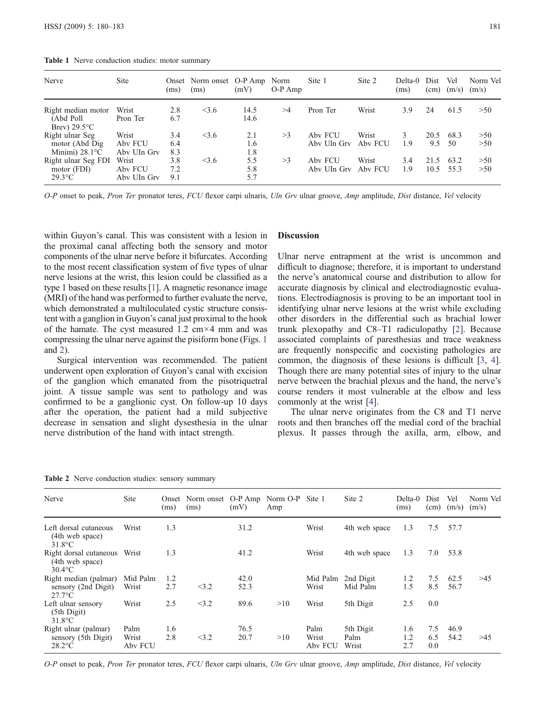| Nerve                                                         | <b>Site</b>                     | (ms)              | Onset Norm onset O-P Amp Norm<br>(ms) | (mV)              | $O-P$ Amp | Site 1                 | Site 2           | Delta-0<br>(ms) | Dist<br>(cm) | Vel<br>(m/s) | Norm Vel<br>(m/s) |
|---------------------------------------------------------------|---------------------------------|-------------------|---------------------------------------|-------------------|-----------|------------------------|------------------|-----------------|--------------|--------------|-------------------|
| Right median motor<br>(Abd Poll)<br>Brev) $29.5^{\circ}$ C    | Wrist<br>Pron Ter               | 2.8<br>6.7        | < 3.6                                 | 14.5<br>14.6      | $>\!\!4$  | Pron Ter               | Wrist            | 3.9             | 24           | 61.5         | >50               |
| Right ulnar Seg<br>motor (Abd Dig<br>Minimi) $28.1^{\circ}$ C | Wrist<br>Aby FCU<br>Aby UIn Gry | 3.4<br>6.4<br>8.3 | $<$ 3.6                               | 2.1<br>1.6<br>1.8 | >3        | Aby FCU<br>Aby Uln Gry | Wrist<br>Aby FCU | 3<br>1.9        | 20.5<br>9.5  | 68.3<br>-50  | >50<br>>50        |
| Right ulnar Seg FDI<br>motor (FDI)<br>$29.3$ °C               | Wrist<br>Aby FCU<br>Aby UIn Gry | 3.8<br>7.2<br>9.1 | $<$ 3.6                               | 5.5<br>5.8<br>5.7 | >3        | Aby FCU<br>Aby UIn Gry | Wrist<br>Aby FCU | 3.4<br>1.9      | 21.5<br>10.5 | 63.2<br>55.3 | >50<br>>50        |

<span id="page-3-0"></span>Table 1 Nerve conduction studies: motor summary

O-P onset to peak, Pron Ter pronator teres, FCU flexor carpi ulnaris, Uln Grv ulnar groove, Amp amplitude, Dist distance, Vel velocity

within Guyon's canal. This was consistent with a lesion in the proximal canal affecting both the sensory and motor components of the ulnar nerve before it bifurcates. According to the most recent classification system of five types of ulnar nerve lesions at the wrist, this lesion could be classified as a type 1 based on these results [\[1](#page-5-0)]. A magnetic resonance image (MRI) of the hand was performed to further evaluate the nerve, which demonstrated a multiloculated cystic structure consistent with a ganglion in Guyon's canal just proximal to the hook of the hamate. The cyst measured 1.2 cm $\times$ 4 mm and was compressing the ulnar nerve against the pisiform bone (Figs. [1](#page-4-0) and [2](#page-4-0)).

Surgical intervention was recommended. The patient underwent open exploration of Guyon's canal with excision of the ganglion which emanated from the pisotriquetral joint. A tissue sample was sent to pathology and was confirmed to be a ganglionic cyst. On follow-up 10 days after the operation, the patient had a mild subjective decrease in sensation and slight dysesthesia in the ulnar nerve distribution of the hand with intact strength.

#### **Discussion**

Ulnar nerve entrapment at the wrist is uncommon and difficult to diagnose; therefore, it is important to understand the nerve's anatomical course and distribution to allow for accurate diagnosis by clinical and electrodiagnostic evaluations. Electrodiagnosis is proving to be an important tool in identifying ulnar nerve lesions at the wrist while excluding other disorders in the differential such as brachial lower trunk plexopathy and C8–T1 radiculopathy [\[2](#page-5-0)]. Because associated complaints of paresthesias and trace weakness are frequently nonspecific and coexisting pathologies are common, the diagnosis of these lesions is difficult [\[3](#page-5-0), [4](#page-5-0)]. Though there are many potential sites of injury to the ulnar nerve between the brachial plexus and the hand, the nerve's course renders it most vulnerable at the elbow and less commonly at the wrist [[4\]](#page-5-0).

The ulnar nerve originates from the C8 and T1 nerve roots and then branches off the medial cord of the brachial plexus. It passes through the axilla, arm, elbow, and

| Nerve                                                        | Site                     | (ms)       | Onset Norm onset O-P Amp Norm O-P Site 1<br>(ms) | (mV)         | Amp |                          | Site 2                     | Delta-0<br>(ms)   | Dist<br>(cm)      | Vel<br>(m/s) | Norm Vel<br>(m/s) |
|--------------------------------------------------------------|--------------------------|------------|--------------------------------------------------|--------------|-----|--------------------------|----------------------------|-------------------|-------------------|--------------|-------------------|
| Left dorsal cutaneous<br>(4th web space)<br>$31.8$ °C        | Wrist                    | 1.3        |                                                  | 31.2         |     | Wrist                    | 4th web space              | 1.3               | 7.5               | 57.7         |                   |
| Right dorsal cutaneous Wrist<br>(4th web space)<br>$30.4$ °C |                          | 1.3        |                                                  | 41.2         |     | Wrist                    | 4th web space              | 1.3               | 7.0               | 53.8         |                   |
| Right median (palmar)<br>sensory (2nd Digit)<br>$27.7$ °C    | Mid Palm<br>Wrist        | 1.2<br>2.7 | <3.2                                             | 42.0<br>52.3 |     | Mid Palm<br>Wrist        | 2nd Digit<br>Mid Palm      | 1.2<br>1.5        | 7.5<br>8.5        | 62.5<br>56.7 | >45               |
| Left ulnar sensory<br>$(5th$ Digit)<br>$31.8^{\circ}$ C      | Wrist                    | 2.5        | <3.2                                             | 89.6         | >10 | Wrist                    | 5th Digit                  | 2.5               | 0.0               |              |                   |
| Right ulnar (palmar)<br>sensory (5th Digit)<br>$28.2$ °C     | Palm<br>Wrist<br>Aby FCU | 1.6<br>2.8 | <3.2                                             | 76.5<br>20.7 | >10 | Palm<br>Wrist<br>Aby FCU | 5th Digit<br>Palm<br>Wrist | 1.6<br>1.2<br>2.7 | 7.5<br>6.5<br>0.0 | 46.9<br>54.2 | >45               |

Table 2 Nerve conduction studies: sensory summary

O-P onset to peak, Pron Ter pronator teres, FCU flexor carpi ulnaris, Uln Grv ulnar groove, Amp amplitude, Dist distance, Vel velocity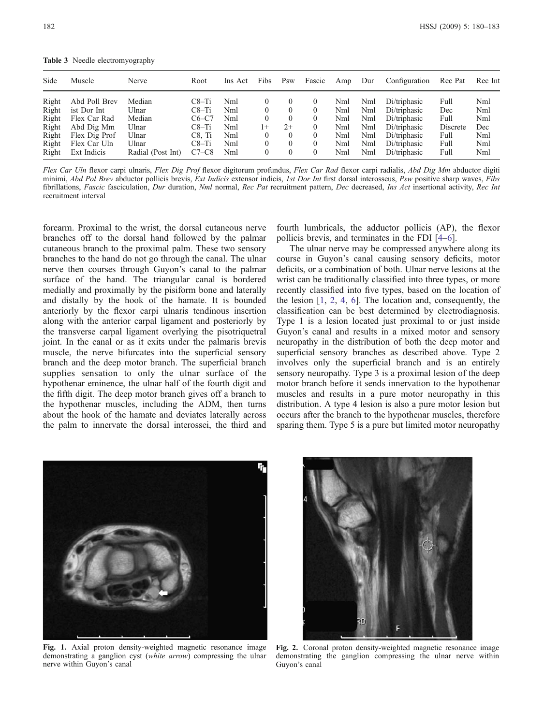<span id="page-4-0"></span>Table 3 Needle electromyography

| Side  | Muscle        | Nerve             | Root     | Ins Act | Fibs     | Psw      | Fascic   | Amp | Dur | Configuration | Rec Pat  | Rec Int |
|-------|---------------|-------------------|----------|---------|----------|----------|----------|-----|-----|---------------|----------|---------|
| Right | Abd Poll Brev | Median            | C8–Ti    | Nml     |          |          | $\left($ | Nml | Nml | Di/triphasic  | Full     | Nml     |
| Right | ist Dor Int   | Ulnar             | $C8-Ti$  | Nml     | $\left($ | $\theta$ | $\theta$ | Nml | Nml | Di/triphasic  | Dec      | Nml     |
| Right | Flex Car Rad  | Median            | $C6-C7$  | Nml     |          | $\theta$ | $\theta$ | Nml | Nml | Di/triphasic  | Full     | Nml     |
| Right | Abd Dig Mm    | Ulnar             | $C8-Ti$  | Nml     | $1+$     | $2+$     | $\theta$ | Nml | Nml | Di/triphasic  | Discrete | Dec     |
| Right | Flex Dig Prof | Ulnar             | $C8.$ Ti | Nml     |          | $\theta$ | $\Omega$ | Nml | Nml | Di/triphasic  | Full     | Nml     |
| Right | Flex Car Uln  | Ulnar             | $C8-Ti$  | Nml     | $\Omega$ | $\theta$ | $\theta$ | Nml | Nml | Di/triphasic  | Full     | Nml     |
| Right | Ext Indicis   | Radial (Post Int) | $C7-C8$  | Nml     | 0        | $\Omega$ | $^{(1)}$ | Nml | Nml | Di/triphasic  | Full     | Nml     |

Flex Car Uln flexor carpi ulnaris, Flex Dig Prof flexor digitorum profundus, Flex Car Rad flexor carpi radialis, Abd Dig Mm abductor digiti minimi, Abd Pol Brev abductor pollicis brevis, Ext Indicis extensor indicis, 1st Dor Int first dorsal interosseus, Psw positive sharp waves, Fibs fibrillations, Fascic fasciculation, Dur duration, Nml normal, Rec Pat recruitment pattern, Dec decreased, Ins Act insertional activity, Rec Int recruitment interval

forearm. Proximal to the wrist, the dorsal cutaneous nerve branches off to the dorsal hand followed by the palmar cutaneous branch to the proximal palm. These two sensory branches to the hand do not go through the canal. The ulnar nerve then courses through Guyon's canal to the palmar surface of the hand. The triangular canal is bordered medially and proximally by the pisiform bone and laterally and distally by the hook of the hamate. It is bounded anteriorly by the flexor carpi ulnaris tendinous insertion along with the anterior carpal ligament and posteriorly by the transverse carpal ligament overlying the pisotriquetral joint. In the canal or as it exits under the palmaris brevis muscle, the nerve bifurcates into the superficial sensory branch and the deep motor branch. The superficial branch supplies sensation to only the ulnar surface of the hypothenar eminence, the ulnar half of the fourth digit and the fifth digit. The deep motor branch gives off a branch to the hypothenar muscles, including the ADM, then turns about the hook of the hamate and deviates laterally across the palm to innervate the dorsal interossei, the third and

fourth lumbricals, the adductor pollicis (AP), the flexor pollicis brevis, and terminates in the FDI [\[4](#page-5-0)–[6\]](#page-5-0).

The ulnar nerve may be compressed anywhere along its course in Guyon's canal causing sensory deficits, motor deficits, or a combination of both. Ulnar nerve lesions at the wrist can be traditionally classified into three types, or more recently classified into five types, based on the location of the lesion [\[1](#page-5-0), [2,](#page-5-0) [4](#page-5-0), [6](#page-5-0)]. The location and, consequently, the classification can be best determined by electrodiagnosis. Type 1 is a lesion located just proximal to or just inside Guyon's canal and results in a mixed motor and sensory neuropathy in the distribution of both the deep motor and superficial sensory branches as described above. Type 2 involves only the superficial branch and is an entirely sensory neuropathy. Type 3 is a proximal lesion of the deep motor branch before it sends innervation to the hypothenar muscles and results in a pure motor neuropathy in this distribution. A type 4 lesion is also a pure motor lesion but occurs after the branch to the hypothenar muscles, therefore sparing them. Type 5 is a pure but limited motor neuropathy



Fig. 1. Axial proton density-weighted magnetic resonance image demonstrating a ganglion cyst (white arrow) compressing the ulnar nerve within Guyon's canal



Fig. 2. Coronal proton density-weighted magnetic resonance image demonstrating the ganglion compressing the ulnar nerve within Guyon's canal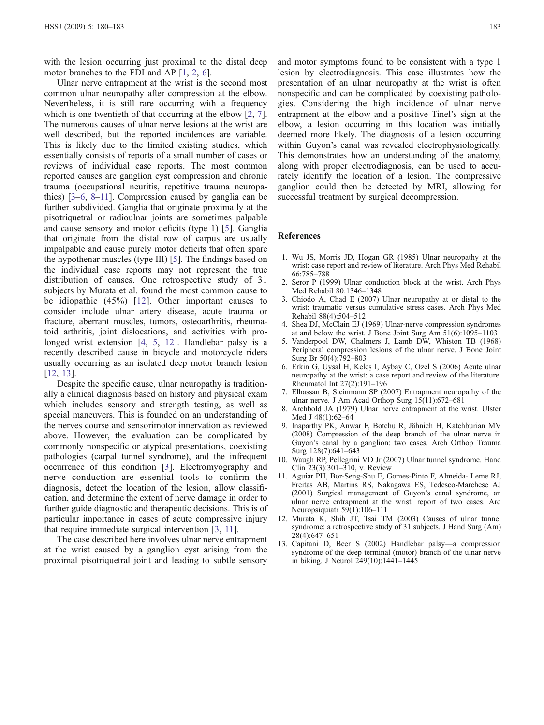<span id="page-5-0"></span>with the lesion occurring just proximal to the distal deep motor branches to the FDI and AP [1, 2, 6].

Ulnar nerve entrapment at the wrist is the second most common ulnar neuropathy after compression at the elbow. Nevertheless, it is still rare occurring with a frequency which is one twentieth of that occurring at the elbow [2, 7]. The numerous causes of ulnar nerve lesions at the wrist are well described, but the reported incidences are variable. This is likely due to the limited existing studies, which essentially consists of reports of a small number of cases or reviews of individual case reports. The most common reported causes are ganglion cyst compression and chronic trauma (occupational neuritis, repetitive trauma neuropathies) [3–6, 8–11]. Compression caused by ganglia can be further subdivided. Ganglia that originate proximally at the pisotriquetral or radioulnar joints are sometimes palpable and cause sensory and motor deficits (type 1) [5]. Ganglia that originate from the distal row of carpus are usually impalpable and cause purely motor deficits that often spare the hypothenar muscles (type III) [5]. The findings based on the individual case reports may not represent the true distribution of causes. One retrospective study of 31 subjects by Murata et al. found the most common cause to be idiopathic (45%) [12]. Other important causes to consider include ulnar artery disease, acute trauma or fracture, aberrant muscles, tumors, osteoarthritis, rheumatoid arthritis, joint dislocations, and activities with prolonged wrist extension [4, 5, 12]. Handlebar palsy is a recently described cause in bicycle and motorcycle riders usually occurring as an isolated deep motor branch lesion [12, 13].

Despite the specific cause, ulnar neuropathy is traditionally a clinical diagnosis based on history and physical exam which includes sensory and strength testing, as well as special maneuvers. This is founded on an understanding of the nerves course and sensorimotor innervation as reviewed above. However, the evaluation can be complicated by commonly nonspecific or atypical presentations, coexisting pathologies (carpal tunnel syndrome), and the infrequent occurrence of this condition [3]. Electromyography and nerve conduction are essential tools to confirm the diagnosis, detect the location of the lesion, allow classification, and determine the extent of nerve damage in order to further guide diagnostic and therapeutic decisions. This is of particular importance in cases of acute compressive injury that require immediate surgical intervention [3, 11].

The case described here involves ulnar nerve entrapment at the wrist caused by a ganglion cyst arising from the proximal pisotriquetral joint and leading to subtle sensory

and motor symptoms found to be consistent with a type 1 lesion by electrodiagnosis. This case illustrates how the presentation of an ulnar neuropathy at the wrist is often nonspecific and can be complicated by coexisting pathologies. Considering the high incidence of ulnar nerve entrapment at the elbow and a positive Tinel's sign at the elbow, a lesion occurring in this location was initially deemed more likely. The diagnosis of a lesion occurring within Guyon's canal was revealed electrophysiologically. This demonstrates how an understanding of the anatomy, along with proper electrodiagnosis, can be used to accurately identify the location of a lesion. The compressive ganglion could then be detected by MRI, allowing for successful treatment by surgical decompression.

#### References

- 1. Wu JS, Morris JD, Hogan GR (1985) Ulnar neuropathy at the wrist: case report and review of literature. Arch Phys Med Rehabil 66:785–788
- 2. Seror P (1999) Ulnar conduction block at the wrist. Arch Phys Med Rehabil 80:1346–1348
- 3. Chiodo A, Chad E (2007) Ulnar neuropathy at or distal to the wrist: traumatic versus cumulative stress cases. Arch Phys Med Rehabil 88(4):504–512
- 4. Shea DJ, McClain EJ (1969) Ulnar-nerve compression syndromes at and below the wrist. J Bone Joint Surg Am 51(6):1095–1103
- 5. Vanderpool DW, Chalmers J, Lamb DW, Whiston TB (1968) Peripheral compression lesions of the ulnar nerve. J Bone Joint Surg Br 50(4):792–803
- 6. Erkin G, Uysal H, Keleş I, Aybay C, Ozel S (2006) Acute ulnar neuropathy at the wrist: a case report and review of the literature. Rheumatol Int 27(2):191–196
- 7. Elhassan B, Steinmann SP (2007) Entrapment neuropathy of the ulnar nerve. J Am Acad Orthop Surg 15(11):672–681
- 8. Archbold JA (1979) Ulnar nerve entrapment at the wrist. Ulster Med J 48(1):62–64
- 9. Inaparthy PK, Anwar F, Botchu R, Jähnich H, Katchburian MV (2008) Compression of the deep branch of the ulnar nerve in Guyon's canal by a ganglion: two cases. Arch Orthop Trauma Surg 128(7):641–643
- 10. Waugh RP, Pellegrini VD Jr (2007) Ulnar tunnel syndrome. Hand Clin 23(3):301–310, v. Review
- 11. Aguiar PH, Bor-Seng-Shu E, Gomes-Pinto F, Almeida- Leme RJ, Freitas AB, Martins RS, Nakagawa ES, Tedesco-Marchese AJ (2001) Surgical management of Guyon's canal syndrome, an ulnar nerve entrapment at the wrist: report of two cases. Arq Neuropsiquiatr 59(1):106–111
- 12. Murata K, Shih JT, Tsai TM (2003) Causes of ulnar tunnel syndrome: a retrospective study of 31 subjects. J Hand Surg (Am) 28(4):647–651
- 13. Capitani D, Beer S (2002) Handlebar palsy—a compression syndrome of the deep terminal (motor) branch of the ulnar nerve in biking. J Neurol 249(10):1441–1445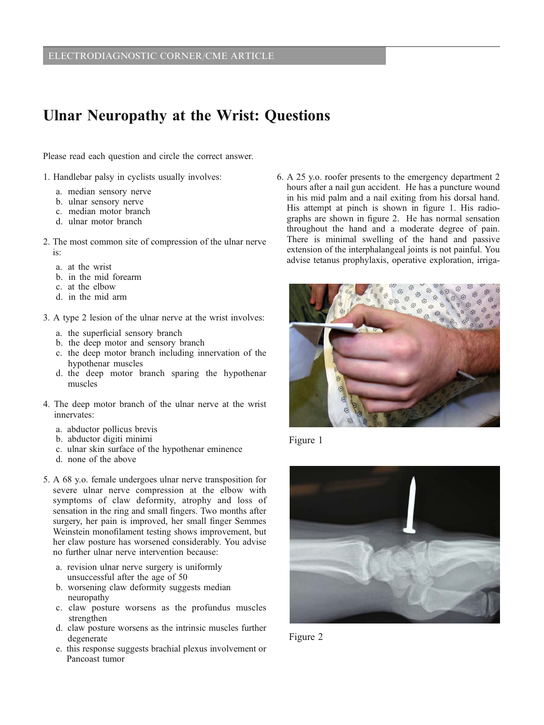# Ulnar Neuropathy at the Wrist: Questions

Please read each question and circle the correct answer.

- 1. Handlebar palsy in cyclists usually involves:
	- a. median sensory nerve
	- b. ulnar sensory nerve
	- c. median motor branch
	- d. ulnar motor branch
- 2. The most common site of compression of the ulnar nerve is:
	- a. at the wrist
	- b. in the mid forearm
	- c. at the elbow
	- d. in the mid arm
- 3. A type 2 lesion of the ulnar nerve at the wrist involves:
	- a. the superficial sensory branch
	- b. the deep motor and sensory branch
	- c. the deep motor branch including innervation of the hypothenar muscles
	- d. the deep motor branch sparing the hypothenar muscles
- 4. The deep motor branch of the ulnar nerve at the wrist innervates:
	- a. abductor pollicus brevis
	- b. abductor digiti minimi
	- c. ulnar skin surface of the hypothenar eminence
	- d. none of the above
- 5. A 68 y.o. female undergoes ulnar nerve transposition for severe ulnar nerve compression at the elbow with symptoms of claw deformity, atrophy and loss of sensation in the ring and small fingers. Two months after surgery, her pain is improved, her small finger Semmes Weinstein monofilament testing shows improvement, but her claw posture has worsened considerably. You advise no further ulnar nerve intervention because:
	- a. revision ulnar nerve surgery is uniformly unsuccessful after the age of 50
	- b. worsening claw deformity suggests median neuropathy
	- c. claw posture worsens as the profundus muscles strengthen
	- d. claw posture worsens as the intrinsic muscles further degenerate
	- e. this response suggests brachial plexus involvement or Pancoast tumor

6. A 25 y.o. roofer presents to the emergency department 2 hours after a nail gun accident. He has a puncture wound in his mid palm and a nail exiting from his dorsal hand. His attempt at pinch is shown in figure 1. His radiographs are shown in figure 2. He has normal sensation throughout the hand and a moderate degree of pain. There is minimal swelling of the hand and passive extension of the interphalangeal joints is not painful. You advise tetanus prophylaxis, operative exploration, irriga-



Figure 1



Figure 2